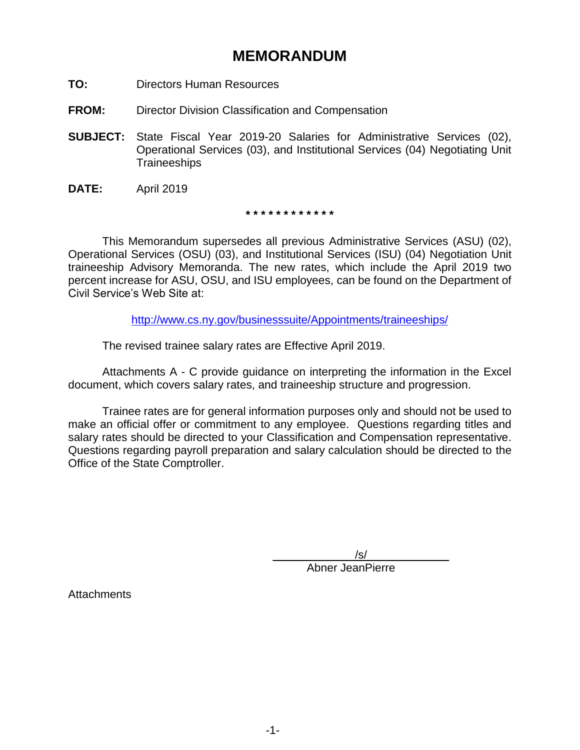# **MEMORANDUM**

- **TO:** Directors Human Resources
- **FROM:** Director Division Classification and Compensation
- **SUBJECT:** State Fiscal Year 2019-20 Salaries for Administrative Services (02), Operational Services (03), and Institutional Services (04) Negotiating Unit **Traineeships**
- **DATE:** April 2019

**\* \* \* \* \* \* \* \* \* \* \* \***

This Memorandum supersedes all previous Administrative Services (ASU) (02), Operational Services (OSU) (03), and Institutional Services (ISU) (04) Negotiation Unit traineeship Advisory Memoranda. The new rates, which include the April 2019 two percent increase for ASU, OSU, and ISU employees, can be found on the Department of Civil Service's Web Site at:

[http://www.cs.ny.gov/businesssuite/Appointments/traineeships/](http://www.cs.ny.gov/businesssuite/Appointments/Traineeships/)

The revised trainee salary rates are Effective April 2019.

Attachments A - C provide guidance on interpreting the information in the Excel document, which covers salary rates, and traineeship structure and progression.

Trainee rates are for general information purposes only and should not be used to make an official offer or commitment to any employee. Questions regarding titles and salary rates should be directed to your Classification and Compensation representative. Questions regarding payroll preparation and salary calculation should be directed to the Office of the State Comptroller.

> $/s/$ Abner JeanPierre

**Attachments**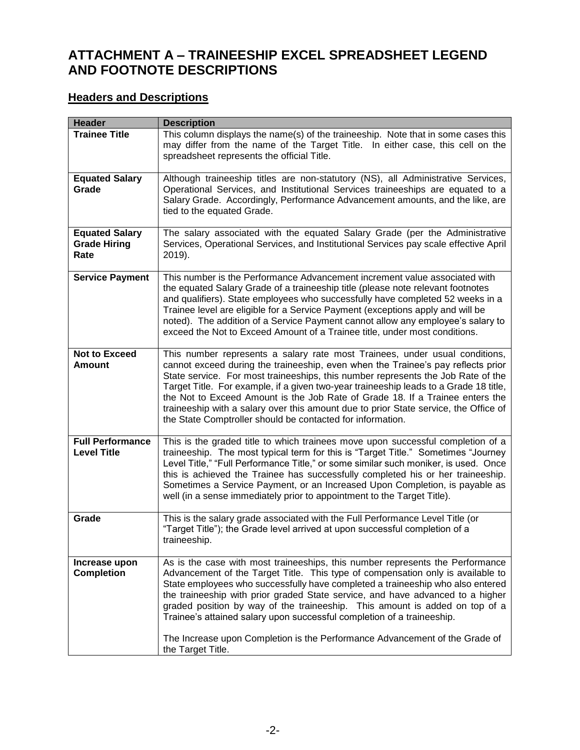### **ATTACHMENT A – TRAINEESHIP EXCEL SPREADSHEET LEGEND AND FOOTNOTE DESCRIPTIONS**

### **Headers and Descriptions**

| <b>Header</b>                                        | <b>Description</b>                                                                                                                                                                                                                                                                                                                                                                                                                                                                                                                                                                                |
|------------------------------------------------------|---------------------------------------------------------------------------------------------------------------------------------------------------------------------------------------------------------------------------------------------------------------------------------------------------------------------------------------------------------------------------------------------------------------------------------------------------------------------------------------------------------------------------------------------------------------------------------------------------|
| <b>Trainee Title</b>                                 | This column displays the name(s) of the traineeship. Note that in some cases this<br>may differ from the name of the Target Title. In either case, this cell on the<br>spreadsheet represents the official Title.                                                                                                                                                                                                                                                                                                                                                                                 |
| <b>Equated Salary</b><br>Grade                       | Although traineeship titles are non-statutory (NS), all Administrative Services,<br>Operational Services, and Institutional Services traineeships are equated to a<br>Salary Grade. Accordingly, Performance Advancement amounts, and the like, are<br>tied to the equated Grade.                                                                                                                                                                                                                                                                                                                 |
| <b>Equated Salary</b><br><b>Grade Hiring</b><br>Rate | The salary associated with the equated Salary Grade (per the Administrative<br>Services, Operational Services, and Institutional Services pay scale effective April<br>2019).                                                                                                                                                                                                                                                                                                                                                                                                                     |
| <b>Service Payment</b>                               | This number is the Performance Advancement increment value associated with<br>the equated Salary Grade of a traineeship title (please note relevant footnotes<br>and qualifiers). State employees who successfully have completed 52 weeks in a<br>Trainee level are eligible for a Service Payment (exceptions apply and will be<br>noted). The addition of a Service Payment cannot allow any employee's salary to<br>exceed the Not to Exceed Amount of a Trainee title, under most conditions.                                                                                                |
| <b>Not to Exceed</b><br><b>Amount</b>                | This number represents a salary rate most Trainees, under usual conditions,<br>cannot exceed during the traineeship, even when the Trainee's pay reflects prior<br>State service. For most traineeships, this number represents the Job Rate of the<br>Target Title. For example, if a given two-year traineeship leads to a Grade 18 title,<br>the Not to Exceed Amount is the Job Rate of Grade 18. If a Trainee enters the<br>traineeship with a salary over this amount due to prior State service, the Office of<br>the State Comptroller should be contacted for information.               |
| <b>Full Performance</b><br><b>Level Title</b>        | This is the graded title to which trainees move upon successful completion of a<br>traineeship. The most typical term for this is "Target Title." Sometimes "Journey<br>Level Title," "Full Performance Title," or some similar such moniker, is used. Once<br>this is achieved the Trainee has successfully completed his or her traineeship.<br>Sometimes a Service Payment, or an Increased Upon Completion, is payable as<br>well (in a sense immediately prior to appointment to the Target Title).                                                                                          |
| Grade                                                | This is the salary grade associated with the Full Performance Level Title (or<br>"Target Title"); the Grade level arrived at upon successful completion of a<br>traineeship.                                                                                                                                                                                                                                                                                                                                                                                                                      |
| Increase upon<br><b>Completion</b>                   | As is the case with most traineeships, this number represents the Performance<br>Advancement of the Target Title. This type of compensation only is available to<br>State employees who successfully have completed a traineeship who also entered<br>the traineeship with prior graded State service, and have advanced to a higher<br>graded position by way of the traineeship. This amount is added on top of a<br>Trainee's attained salary upon successful completion of a traineeship.<br>The Increase upon Completion is the Performance Advancement of the Grade of<br>the Target Title. |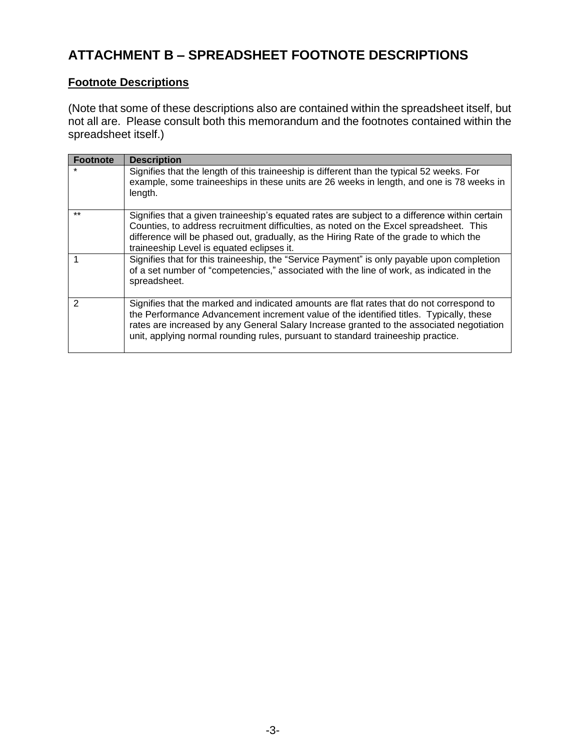## **ATTACHMENT B – SPREADSHEET FOOTNOTE DESCRIPTIONS**

#### **Footnote Descriptions**

(Note that some of these descriptions also are contained within the spreadsheet itself, but not all are. Please consult both this memorandum and the footnotes contained within the spreadsheet itself.)

| <b>Footnote</b> | <b>Description</b>                                                                                                                                                                                                                                                                                                                                                 |
|-----------------|--------------------------------------------------------------------------------------------------------------------------------------------------------------------------------------------------------------------------------------------------------------------------------------------------------------------------------------------------------------------|
|                 | Signifies that the length of this traineeship is different than the typical 52 weeks. For<br>example, some traineeships in these units are 26 weeks in length, and one is 78 weeks in<br>length.                                                                                                                                                                   |
| $***$           | Signifies that a given traineeship's equated rates are subject to a difference within certain<br>Counties, to address recruitment difficulties, as noted on the Excel spreadsheet. This<br>difference will be phased out, gradually, as the Hiring Rate of the grade to which the<br>traineeship Level is equated eclipses it.                                     |
|                 | Signifies that for this traineeship, the "Service Payment" is only payable upon completion<br>of a set number of "competencies," associated with the line of work, as indicated in the<br>spreadsheet.                                                                                                                                                             |
| 2               | Signifies that the marked and indicated amounts are flat rates that do not correspond to<br>the Performance Advancement increment value of the identified titles. Typically, these<br>rates are increased by any General Salary Increase granted to the associated negotiation<br>unit, applying normal rounding rules, pursuant to standard traineeship practice. |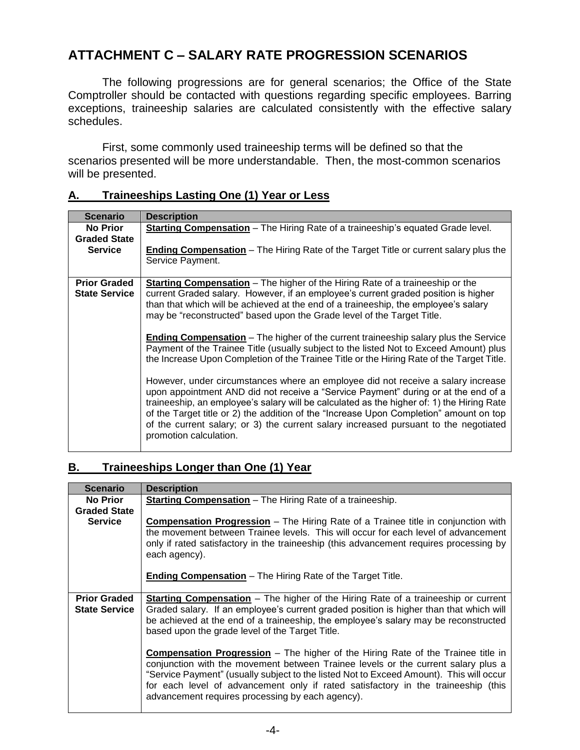## **ATTACHMENT C – SALARY RATE PROGRESSION SCENARIOS**

The following progressions are for general scenarios; the Office of the State Comptroller should be contacted with questions regarding specific employees. Barring exceptions, traineeship salaries are calculated consistently with the effective salary schedules.

First, some commonly used traineeship terms will be defined so that the scenarios presented will be more understandable. Then, the most-common scenarios will be presented.

| <b>Scenario</b>                             | <b>Description</b>                                                                                                                                                                                                                                                                                                                                                                                                                                                              |
|---------------------------------------------|---------------------------------------------------------------------------------------------------------------------------------------------------------------------------------------------------------------------------------------------------------------------------------------------------------------------------------------------------------------------------------------------------------------------------------------------------------------------------------|
| <b>No Prior</b>                             | <b>Starting Compensation</b> – The Hiring Rate of a traineeship's equated Grade level.                                                                                                                                                                                                                                                                                                                                                                                          |
| <b>Graded State</b><br><b>Service</b>       | <b>Ending Compensation</b> – The Hiring Rate of the Target Title or current salary plus the<br>Service Payment.                                                                                                                                                                                                                                                                                                                                                                 |
| <b>Prior Graded</b><br><b>State Service</b> | <b>Starting Compensation</b> - The higher of the Hiring Rate of a traineeship or the<br>current Graded salary. However, if an employee's current graded position is higher<br>than that which will be achieved at the end of a traineeship, the employee's salary<br>may be "reconstructed" based upon the Grade level of the Target Title.                                                                                                                                     |
|                                             | <b>Ending Compensation</b> – The higher of the current traineeship salary plus the Service<br>Payment of the Trainee Title (usually subject to the listed Not to Exceed Amount) plus<br>the Increase Upon Completion of the Trainee Title or the Hiring Rate of the Target Title.                                                                                                                                                                                               |
|                                             | However, under circumstances where an employee did not receive a salary increase<br>upon appointment AND did not receive a "Service Payment" during or at the end of a<br>traineeship, an employee's salary will be calculated as the higher of: 1) the Hiring Rate<br>of the Target title or 2) the addition of the "Increase Upon Completion" amount on top<br>of the current salary; or 3) the current salary increased pursuant to the negotiated<br>promotion calculation. |

#### **A. Traineeships Lasting One (1) Year or Less**

#### **B. Traineeships Longer than One (1) Year**

| <b>Scenario</b>                             | <b>Description</b>                                                                                                                                                                                                                                                                                                                                                                                               |
|---------------------------------------------|------------------------------------------------------------------------------------------------------------------------------------------------------------------------------------------------------------------------------------------------------------------------------------------------------------------------------------------------------------------------------------------------------------------|
| <b>No Prior</b>                             | <b>Starting Compensation</b> – The Hiring Rate of a traineeship.                                                                                                                                                                                                                                                                                                                                                 |
| <b>Graded State</b>                         |                                                                                                                                                                                                                                                                                                                                                                                                                  |
| <b>Service</b>                              | <b>Compensation Progression</b> – The Hiring Rate of a Trainee title in conjunction with<br>the movement between Trainee levels. This will occur for each level of advancement<br>only if rated satisfactory in the traineeship (this advancement requires processing by<br>each agency).                                                                                                                        |
|                                             | <b>Ending Compensation</b> – The Hiring Rate of the Target Title.                                                                                                                                                                                                                                                                                                                                                |
| <b>Prior Graded</b><br><b>State Service</b> | <b>Starting Compensation</b> - The higher of the Hiring Rate of a traineeship or current<br>Graded salary. If an employee's current graded position is higher than that which will<br>be achieved at the end of a traineeship, the employee's salary may be reconstructed<br>based upon the grade level of the Target Title.                                                                                     |
|                                             | <b>Compensation Progression</b> - The higher of the Hiring Rate of the Trainee title in<br>conjunction with the movement between Trainee levels or the current salary plus a<br>"Service Payment" (usually subject to the listed Not to Exceed Amount). This will occur<br>for each level of advancement only if rated satisfactory in the traineeship (this<br>advancement requires processing by each agency). |